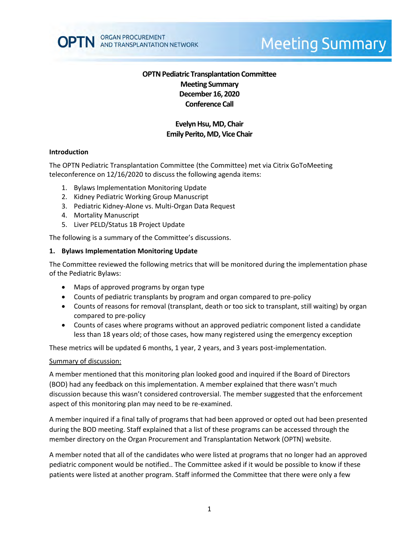

# **Meeting Summary**

# **OPTN Pediatric Transplantation Committee Meeting Summary December 16, 2020 Conference Call**

# **Evelyn Hsu, MD, Chair Emily Perito, MD, Vice Chair**

#### **Introduction**

The OPTN Pediatric Transplantation Committee (the Committee) met via Citrix GoToMeeting teleconference on 12/16/2020 to discuss the following agenda items:

- 1. Bylaws Implementation Monitoring Update
- 2. Kidney Pediatric Working Group Manuscript
- 3. Pediatric Kidney-Alone vs. Multi-Organ Data Request
- 4. Mortality Manuscript
- 5. Liver PELD/Status 1B Project Update

The following is a summary of the Committee's discussions.

#### **1. Bylaws Implementation Monitoring Update**

The Committee reviewed the following metrics that will be monitored during the implementation phase of the Pediatric Bylaws:

- Maps of approved programs by organ type
- Counts of pediatric transplants by program and organ compared to pre-policy
- Counts of reasons for removal (transplant, death or too sick to transplant, still waiting) by organ compared to pre-policy
- Counts of cases where programs without an approved pediatric component listed a candidate less than 18 years old; of those cases, how many registered using the emergency exception

These metrics will be updated 6 months, 1 year, 2 years, and 3 years post-implementation.

#### Summary of discussion:

A member mentioned that this monitoring plan looked good and inquired if the Board of Directors (BOD) had any feedback on this implementation. A member explained that there wasn't much discussion because this wasn't considered controversial. The member suggested that the enforcement aspect of this monitoring plan may need to be re-examined.

A member inquired if a final tally of programs that had been approved or opted out had been presented during the BOD meeting. Staff explained that a list of these programs can be accessed through the member directory on the Organ Procurement and Transplantation Network (OPTN) website.

A member noted that all of the candidates who were listed at programs that no longer had an approved pediatric component would be notified.. The Committee asked if it would be possible to know if these patients were listed at another program. Staff informed the Committee that there were only a few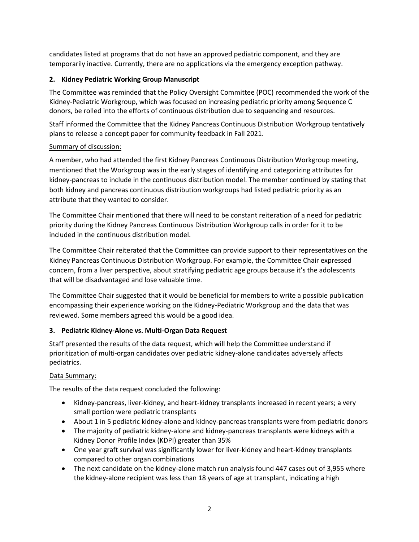candidates listed at programs that do not have an approved pediatric component, and they are temporarily inactive. Currently, there are no applications via the emergency exception pathway.

# **2. Kidney Pediatric Working Group Manuscript**

The Committee was reminded that the Policy Oversight Committee (POC) recommended the work of the Kidney-Pediatric Workgroup, which was focused on increasing pediatric priority among Sequence C donors, be rolled into the efforts of continuous distribution due to sequencing and resources.

Staff informed the Committee that the Kidney Pancreas Continuous Distribution Workgroup tentatively plans to release a concept paper for community feedback in Fall 2021.

## Summary of discussion:

A member, who had attended the first Kidney Pancreas Continuous Distribution Workgroup meeting, mentioned that the Workgroup was in the early stages of identifying and categorizing attributes for kidney-pancreas to include in the continuous distribution model. The member continued by stating that both kidney and pancreas continuous distribution workgroups had listed pediatric priority as an attribute that they wanted to consider.

The Committee Chair mentioned that there will need to be constant reiteration of a need for pediatric priority during the Kidney Pancreas Continuous Distribution Workgroup calls in order for it to be included in the continuous distribution model.

The Committee Chair reiterated that the Committee can provide support to their representatives on the Kidney Pancreas Continuous Distribution Workgroup. For example, the Committee Chair expressed concern, from a liver perspective, about stratifying pediatric age groups because it's the adolescents that will be disadvantaged and lose valuable time.

The Committee Chair suggested that it would be beneficial for members to write a possible publication encompassing their experience working on the Kidney-Pediatric Workgroup and the data that was reviewed. Some members agreed this would be a good idea.

# **3. Pediatric Kidney-Alone vs. Multi-Organ Data Request**

Staff presented the results of the data request, which will help the Committee understand if prioritization of multi-organ candidates over pediatric kidney-alone candidates adversely affects pediatrics.

# Data Summary:

The results of the data request concluded the following:

- Kidney-pancreas, liver-kidney, and heart-kidney transplants increased in recent years; a very small portion were pediatric transplants
- About 1 in 5 pediatric kidney-alone and kidney-pancreas transplants were from pediatric donors
- The majority of pediatric kidney-alone and kidney-pancreas transplants were kidneys with a Kidney Donor Profile Index (KDPI) greater than 35%
- One year graft survival was significantly lower for liver-kidney and heart-kidney transplants compared to other organ combinations
- The next candidate on the kidney-alone match run analysis found 447 cases out of 3,955 where the kidney-alone recipient was less than 18 years of age at transplant, indicating a high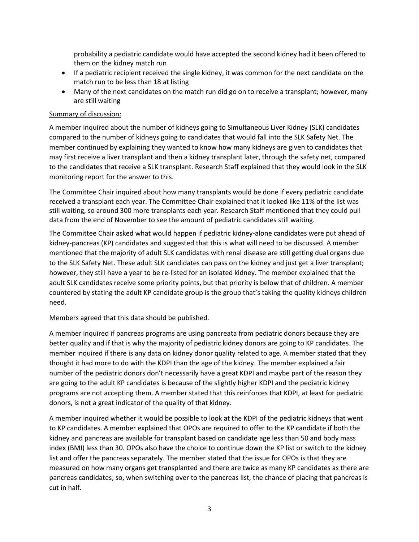probability a pediatric candidate would have accepted the second kidney had it been offered to them on the kidney match run

- If a pediatric recipient received the single kidney, it was common for the next candidate on the match run to be less than 18 at listing
- Many of the next candidates on the match run did go on to receive a transplant; however, many are still waiting

## Summary of discussion:

A member inquired about the number of kidneys going to Simultaneous Liver Kidney (SLK) candidates compared to the number of kidneys going to candidates that would fall into the SLK Safety Net. The member continued by explaining they wanted to know how many kidneys are given to candidates that may first receive a liver transplant and then a kidney transplant later, through the safety net, compared to the candidates that receive a SLK transplant. Research Staff explained that they would look in the SLK monitoring report for the answer to this.

The Committee Chair inquired about how many transplants would be done if every pediatric candidate received a transplant each year. The Committee Chair explained that it looked like 11% of the list was still waiting, so around 300 more transplants each year. Research Staff mentioned that they could pull data from the end of November to see the amount of pediatric candidates still waiting.

The Committee Chair asked what would happen if pediatric kidney-alone candidates were put ahead of kidney-pancreas (KP) candidates and suggested that this is what will need to be discussed. A member mentioned that the majority of adult SLK candidates with renal disease are still getting dual organs due to the SLK Safety Net. These adult SLK candidates can pass on the kidney and just get a liver transplant; however, they still have a year to be re-listed for an isolated kidney. The member explained that the adult SLK candidates receive some priority points, but that priority is below that of children. A member countered by stating the adult KP candidate group is the group that's taking the quality kidneys children need.

Members agreed that this data should be published.

A member inquired if pancreas programs are using pancreata from pediatric donors because they are better quality and if that is why the majority of pediatric kidney donors are going to KP candidates. The member inquired if there is any data on kidney donor quality related to age. A member stated that they thought it had more to do with the KDPI than the age of the kidney. The member explained a fair number of the pediatric donors don't necessarily have a great KDPI and maybe part of the reason they are going to the adult KP candidates is because of the slightly higher KDPI and the pediatric kidney programs are not accepting them. A member stated that this reinforces that KDPI, at least for pediatric donors, is not a great indicator of the quality of that kidney.

A member inquired whether it would be possible to look at the KDPI of the pediatric kidneys that went to KP candidates. A member explained that OPOs are required to offer to the KP candidate if both the kidney and pancreas are available for transplant based on candidate age less than 50 and body mass index (BMI) less than 30. OPOs also have the choice to continue down the KP list or switch to the kidney list and offer the pancreas separately. The member stated that the issue for OPOs is that they are measured on how many organs get transplanted and there are twice as many KP candidates as there are pancreas candidates; so, when switching over to the pancreas list, the chance of placing that pancreas is cut in half.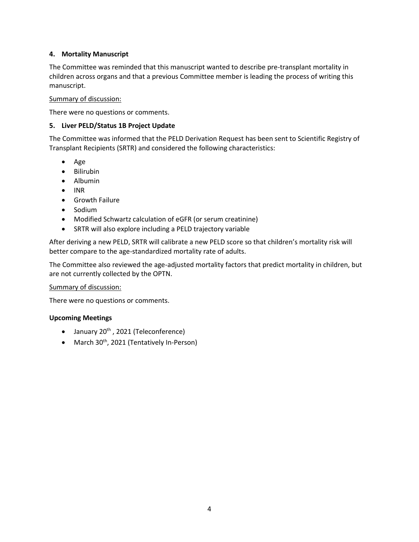## **4. Mortality Manuscript**

The Committee was reminded that this manuscript wanted to describe pre-transplant mortality in children across organs and that a previous Committee member is leading the process of writing this manuscript.

#### Summary of discussion:

There were no questions or comments.

## **5. Liver PELD/Status 1B Project Update**

The Committee was informed that the PELD Derivation Request has been sent to Scientific Registry of Transplant Recipients (SRTR) and considered the following characteristics:

- Age
- Bilirubin
- Albumin
- $\bullet$  INR
- **•** Growth Failure
- Sodium
- Modified Schwartz calculation of eGFR (or serum creatinine)
- SRTR will also explore including a PELD trajectory variable

After deriving a new PELD, SRTR will calibrate a new PELD score so that children's mortality risk will better compare to the age-standardized mortality rate of adults.

The Committee also reviewed the age-adjusted mortality factors that predict mortality in children, but are not currently collected by the OPTN.

#### Summary of discussion:

There were no questions or comments.

## **Upcoming Meetings**

- $\bullet$  January 20<sup>th</sup>, 2021 (Teleconference)
- March 30<sup>th</sup>, 2021 (Tentatively In-Person)